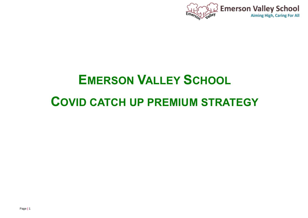

# **EMERSON VALLEY SCHOOL COVID CATCH UP PREMIUM STRATEGY**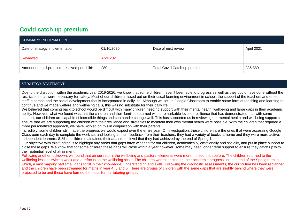### **Covid catch up premium**

| SUMMARY INFORMATION                         |            |                               |            |  |  |
|---------------------------------------------|------------|-------------------------------|------------|--|--|
| Date of strategy implementation:            | 01/10/2020 | Date of next review:          | April 2021 |  |  |
| Reviewed                                    | April 2021 |                               |            |  |  |
| Amount of pupil premium received per child: | £80        | Total Covid Catch up premium: | £36,880    |  |  |

#### STRATEGY STATEMENT

Due to the disruption within the academic year 2019-2020, we know that some children haven't been able to progress as well as they could have done without the restrictions that were necessary for safety. Most of our children missed out on their usual learning environment in school, the support of the teachers and other staff in person and the social development that is incorporated in daily life. Although we set up Google Classroom to enable some form of teaching and learning to continue and we made welfare and wellbeing calls, this was no substitute for their daily life.

We believed that coming back to school would be difficult with many children needing support with their mental health, wellbeing and large gaps in their academic ability. However, what we found was that the children and their families returned with a remarkable level of resilience that has demonstrated that with some support, our children are capable of incredible things and can handle change well. This has supported us in reviewing our mental health and wellbeing support to ensure that we are supporting the children with their resilience and strategies to maintain their own mental health were possible. With the children that required a more personalized approach, we have worked on this in conjunction with their parents.

Incredibly, some children still made the progress we would expect over the entire year. On investigation, these children are the ones that were accessing Google Classroom each day to complete the work set and looking at their feedback from their teachers, they had a variety of books at home and they were more active, independent learners. 81% of children maintained their attainment level that they had achieved by the end of Spring 1.

Our objective with this funding is to highlight any areas that gaps have widened for our children, academically, emotionally and socially, and put in place support to close these gaps. We know that for some children these gaps will close within a year however, some may need longer term support to ensure they catch up with their potential level of attainment.

Following another lockdown, we found that on our return, the wellbeing and pastoral elements were more in need than before. The children returned to the wellbeing lessons twice a week and a refocus on the wellbeing scale. The children weren't tested on their academic progress until the end of the Spring term in which, a vast majority had small gaps to fill in their knowledge, understanding and skills. Following the diagnostic assessments, the curriculum has been replanned and the children have been streamed for maths in year 4, 5 and 6. There are groups of children with the same gaps that are slightly behind where they were projected to be and these have formed the focus for our tutoring groups.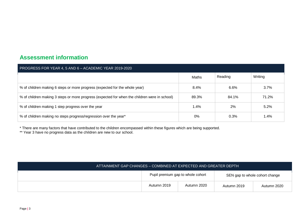#### **Assessment information**

| PROGRESS FOR YEAR 4, 5 AND 6 - ACADEMIC YEAR 2019-2020                                        |       |         |         |  |  |  |
|-----------------------------------------------------------------------------------------------|-------|---------|---------|--|--|--|
|                                                                                               | Maths | Reading | Writing |  |  |  |
| % of children making 6 steps or more progress (expected for the whole year)                   | 8.4%  | 6.6%    | 3.7%    |  |  |  |
| % of children making 3 steps or more progress (expected for when the children were in school) | 89.3% | 84.1%   | 71.2%   |  |  |  |
| % of children making 1 step progress over the year                                            | 1.4%  | 2%      | 5.2%    |  |  |  |
| % of children making no steps progress/regression over the year*                              | 0%    | 0.3%    | 1.4%    |  |  |  |

\* There are many factors that have contributed to the children encompassed within these figures which are being supported.

\*\* Year 3 have no progress data as the children are new to our school.

|  | Pupil premium gap to whole cohort |             | SEN gap to whole cohort change |             |
|--|-----------------------------------|-------------|--------------------------------|-------------|
|  | Autumn 2019                       | Autumn 2020 | Autumn 2019                    | Autumn 2020 |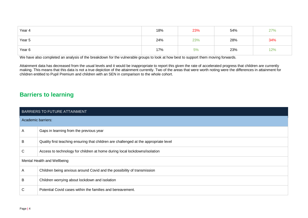| Year 4 | 18% | 23% | 54% | 27% |
|--------|-----|-----|-----|-----|
| Year 5 | 24% | 23% | 28% | 34% |
| Year 6 | 17% | 5%  | 23% | 12% |

We have also completed an analysis of the breakdown for the vulnerable groups to look at how best to support them moving forwards.

Attainment data has decreased from the usual levels and it would be inappropriate to report this given the rate of accelerated progress that children are currently making. This means that this data is not a true depiction of the attainment currently. Two of the areas that were worth noting were the differences in attainment for children entitled to Pupil Premium and children with an SEN in comparison to the whole cohort.

#### **Barriers to learning**

|                    | BARRIERS TO FUTURE ATTAINMENT                                                         |  |  |  |
|--------------------|---------------------------------------------------------------------------------------|--|--|--|
| Academic barriers: |                                                                                       |  |  |  |
| A                  | Gaps in learning from the previous year                                               |  |  |  |
| B                  | Quality first teaching ensuring that children are challenged at the appropriate level |  |  |  |
| C                  | Access to technology for children at home during local lockdowns/isolation            |  |  |  |
|                    | Mental Health and Wellbeing                                                           |  |  |  |
| A                  | Children being anxious around Covid and the possibility of transmission               |  |  |  |
| B                  | Children worrying about lockdown and isolation                                        |  |  |  |
| C                  | Potential Covid cases within the families and bereavement.                            |  |  |  |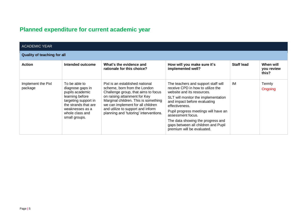## **Planned expenditure for current academic year**

| <b>ACADEMIC YEAR</b>               |                                                                                                                                                                                |                                                                                                                                                                                                                                                                                                     |                                                                                                                                                                                                                                                                                                                                                                        |                   |                                  |  |
|------------------------------------|--------------------------------------------------------------------------------------------------------------------------------------------------------------------------------|-----------------------------------------------------------------------------------------------------------------------------------------------------------------------------------------------------------------------------------------------------------------------------------------------------|------------------------------------------------------------------------------------------------------------------------------------------------------------------------------------------------------------------------------------------------------------------------------------------------------------------------------------------------------------------------|-------------------|----------------------------------|--|
| <b>Quality of teaching for all</b> |                                                                                                                                                                                |                                                                                                                                                                                                                                                                                                     |                                                                                                                                                                                                                                                                                                                                                                        |                   |                                  |  |
| <b>Action</b>                      | Intended outcome                                                                                                                                                               | What's the evidence and<br>rationale for this choice?                                                                                                                                                                                                                                               | How will you make sure it's<br>implemented well?                                                                                                                                                                                                                                                                                                                       | <b>Staff lead</b> | When will<br>you review<br>this? |  |
| Implement the Pixl<br>package      | To be able to<br>diagnose gaps in<br>pupils academic<br>learning before<br>targeting support in<br>the strands that are<br>weaknesses as a<br>whole class and<br>small groups. | Pixl is an established national<br>scheme, born from the London<br>Challenge group, that aims to focus<br>on raising attainment for Key<br>Marginal children. This is something<br>we can implement for all children<br>and utilize to support and inform<br>planning and 'tutoring' interventions. | The teachers and support staff will<br>receive CPD in how to utilize the<br>website and its resources.<br>SLT will monitor the implementation<br>and impact before evaluating<br>effectiveness.<br>Pupil progress meetings will have an<br>assessment focus.<br>The data showing the progress and<br>gaps between all children and Pupil<br>premium will be evaluated. | IM                | Termly<br>Ongoing                |  |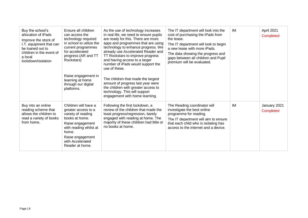| Buy the school's<br>allocation of iPads<br>Improve the stock of<br>I.T. equipment that can<br>be loaned out to<br>children in the event of<br>a local<br>lockdown/isolation | Ensure all children<br>can access the<br>technology required<br>in school to utilize the<br>current programmes<br>for accelerated<br>progress (AR and TT<br>Rockstars)<br>Raise engagement in<br>learning at home<br>through our digital<br>platforms. | As the use of technology increases<br>in real life, we need to ensure pupils<br>are ready for this. There are more<br>apps and programmes that are using<br>technology to enhance progress. We<br>already use Accelerated Reader and<br>TT Rockstars to improve progress<br>and having access to a larger<br>number of iPads would support the<br>use of these.<br>The children that made the largest<br>amount of progress last year were<br>the children with greater access to<br>technology. This will support<br>engagement with home learning. | The IT department will look into the<br>cost of purchasing the iPads from<br>the lease.<br>The IT department will look to begin<br>a new lease with more iPads.<br>The data showing the progress and<br>gaps between all children and Pupil<br>premium will be evaluated. | IM        | April 2021<br>Completed   |
|-----------------------------------------------------------------------------------------------------------------------------------------------------------------------------|--------------------------------------------------------------------------------------------------------------------------------------------------------------------------------------------------------------------------------------------------------|------------------------------------------------------------------------------------------------------------------------------------------------------------------------------------------------------------------------------------------------------------------------------------------------------------------------------------------------------------------------------------------------------------------------------------------------------------------------------------------------------------------------------------------------------|---------------------------------------------------------------------------------------------------------------------------------------------------------------------------------------------------------------------------------------------------------------------------|-----------|---------------------------|
| Buy into an online<br>reading scheme that<br>allows the children to<br>read a variety of books<br>from home.                                                                | Children will have a<br>greater access to a<br>variety of reading<br>books at home.<br>Raise engagement<br>with reading whilst at<br>home.<br>Raise engagement<br>with Accelerated<br>Reader at home.                                                  | Following the first lockdown, a<br>review of the children that made the<br>least progress/regression, barely<br>engaged with reading at home. The<br>majority of these children had little or<br>no books at home.                                                                                                                                                                                                                                                                                                                                   | The Reading coordinator will<br>investigate the best online<br>programme for reading.<br>The IT department will aim to ensure<br>that each child who is isolating has<br>access to the internet and a device.                                                             | <b>IM</b> | January 2021<br>Completed |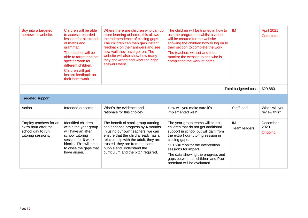| Buy into a targeted<br>homework website.                                                  | Children will be able<br>to access recorded<br>lessons for all strands<br>of maths and<br>grammar.<br>The teacher will be<br>able to target and set<br>specific work for<br>different children.<br>Children will get<br>instant feedback on<br>their homework. | Where there are children who can do<br>more learning at home, this allows<br>the independence of closing gaps.<br>The children can then gain instant<br>feedback on their answers and see<br>how well they have got on. The<br>website will also show how many<br>they got wrong and what the right<br>answers were. | The children will be trained in how to<br>use the programme whilst a video<br>will be created for the website<br>showing the children how to log on to<br>their section to complete the work.<br>The teachers will set and then<br>monitor the website to see who is<br>completing the work at home.                                          | <b>IM</b>          | April 2021<br>Completed       |
|-------------------------------------------------------------------------------------------|----------------------------------------------------------------------------------------------------------------------------------------------------------------------------------------------------------------------------------------------------------------|----------------------------------------------------------------------------------------------------------------------------------------------------------------------------------------------------------------------------------------------------------------------------------------------------------------------|-----------------------------------------------------------------------------------------------------------------------------------------------------------------------------------------------------------------------------------------------------------------------------------------------------------------------------------------------|--------------------|-------------------------------|
| Total budgeted cost:                                                                      |                                                                                                                                                                                                                                                                |                                                                                                                                                                                                                                                                                                                      |                                                                                                                                                                                                                                                                                                                                               |                    |                               |
| <b>Targeted support</b>                                                                   |                                                                                                                                                                                                                                                                |                                                                                                                                                                                                                                                                                                                      |                                                                                                                                                                                                                                                                                                                                               |                    |                               |
| Action                                                                                    | Intended outcome                                                                                                                                                                                                                                               | What's the evidence and<br>rationale for this choice?                                                                                                                                                                                                                                                                | How will you make sure it's<br>implemented well?                                                                                                                                                                                                                                                                                              | Staff lead         | When will you<br>review this? |
| Employ teachers for an<br>extra hour after the<br>school day to run<br>tutoring sessions. | Identified children<br>within the year group<br>will have an after<br>school tutoring<br>session for 6 week<br>blocks. This will help<br>to close the gaps that<br>have arisen.                                                                                | The benefit of small group tutoring<br>can enhance progress by 4 months.<br>In using our own teachers, we can<br>ensure that the child already has a<br>relationship with the adult, they are<br>trusted, they are from the same<br>bubble and understand the<br>curriculum and the pitch required.                  | The year group teams will select<br>children that do not get additional<br>support in school but will gain from<br>the extra hour tutoring session in<br>closing gaps.<br>SLT will monitor the intervention<br>sessions for impact.<br>The data showing the progress and<br>gaps between all children and Pupil<br>premium will be evaluated. | IM<br>Team leaders | December<br>2020<br>Ongoing   |